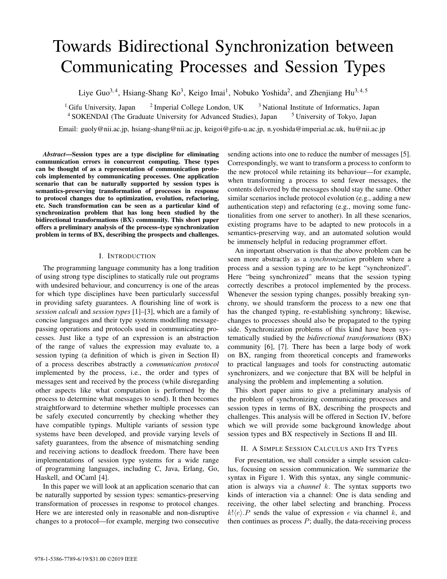# Towards Bidirectional Synchronization between Communicating Processes and Session Types

Liye Guo<sup>3,4</sup>, Hsiang-Shang Ko<sup>3</sup>, Keigo Imai<sup>1</sup>, Nobuko Yoshida<sup>2</sup>, and Zhenjiang Hu<sup>3,4,5</sup>

<sup>1</sup> Gifu University, Japan  $\frac{2}{}$  Imperial College London, UK  $3$  National Institute of Informatics, Japan <sup>4</sup> SOKENDAI (The Graduate University for Advanced Studies), Japan <sup>5</sup> University of Tokyo, Japan

Email: guoly@nii.ac.jp, hsiang-shang@nii.ac.jp, keigoi@gifu-u.ac.jp, n.yoshida@imperial.ac.uk, hu@nii.ac.jp

*Abstract*—Session types are a type discipline for eliminating communication errors in concurrent computing. These types can be thought of as a representation of communication protocols implemented by communicating processes. One application scenario that can be naturally supported by session types is semantics-preserving transformation of processes in response to protocol changes due to optimization, evolution, refactoring, etc. Such transformation can be seen as a particular kind of synchronization problem that has long been studied by the bidirectional transformations (BX) community. This short paper offers a preliminary analysis of the process–type synchronization problem in terms of BX, describing the prospects and challenges.

## I. INTRODUCTION

The programming language community has a long tradition of using strong type disciplines to statically rule out programs with undesired behaviour, and concurrency is one of the areas for which type disciplines have been particularly successful in providing safety guarantees. A flourishing line of work is *session calculi* and *session types* [1]–[3], which are a family of concise languages and their type systems modelling messagepassing operations and protocols used in communicating processes. Just like a type of an expression is an abstraction of the range of values the expression may evaluate to, a session typing (a definition of which is given in Section II) of a process describes abstractly a *communication protocol* implemented by the process, i.e., the order and types of messages sent and received by the process (while disregarding other aspects like what computation is performed by the process to determine what messages to send). It then becomes straightforward to determine whether multiple processes can be safely executed concurrently by checking whether they have compatible typings. Multiple variants of session type systems have been developed, and provide varying levels of safety guarantees, from the absence of mismatching sending and receiving actions to deadlock freedom. There have been implementations of session type systems for a wide range of programming languages, including C, Java, Erlang, Go, Haskell, and OCaml [4].

In this paper we will look at an application scenario that can be naturally supported by session types: semantics-preserving transformation of processes in response to protocol changes. Here we are interested only in reasonable and non-disruptive changes to a protocol—for example, merging two consecutive

sending actions into one to reduce the number of messages [5]. Correspondingly, we want to transform a process to conform to the new protocol while retaining its behaviour—for example, when transforming a process to send fewer messages, the contents delivered by the messages should stay the same. Other similar scenarios include protocol evolution (e.g., adding a new authentication step) and refactoring (e.g., moving some functionalities from one server to another). In all these scenarios, existing programs have to be adapted to new protocols in a semantics-preserving way, and an automated solution would be immensely helpful in reducing programmer effort.

An important observation is that the above problem can be seen more abstractly as a *synchronization* problem where a process and a session typing are to be kept "synchronized". Here "being synchronized" means that the session typing correctly describes a protocol implemented by the process. Whenever the session typing changes, possibly breaking synchrony, we should transform the process to a new one that has the changed typing, re-establishing synchrony; likewise, changes to processes should also be propagated to the typing side. Synchronization problems of this kind have been systematically studied by the *bidirectional transformations* (BX) community [6], [7]. There has been a large body of work on BX, ranging from theoretical concepts and frameworks to practical languages and tools for constructing automatic synchronizers, and we conjecture that BX will be helpful in analysing the problem and implementing a solution.

This short paper aims to give a preliminary analysis of the problem of synchronizing communicating processes and session types in terms of BX, describing the prospects and challenges. This analysis will be offered in Section IV, before which we will provide some background knowledge about session types and BX respectively in Sections II and III.

#### II. A SIMPLE SESSION CALCULUS AND ITS TYPES

For presentation, we shall consider a simple session calculus, focusing on session communication. We summarize the syntax in Figure 1. With this syntax, any single communication is always via a *channel k*. The syntax supports two kinds of interaction via a channel: One is data sending and receiving, the other label selecting and branching. Process  $k! \langle e \rangle$ . *P* sends the value of expression *e* via channel *k*, and then continues as process  $P$ ; dually, the data-receiving process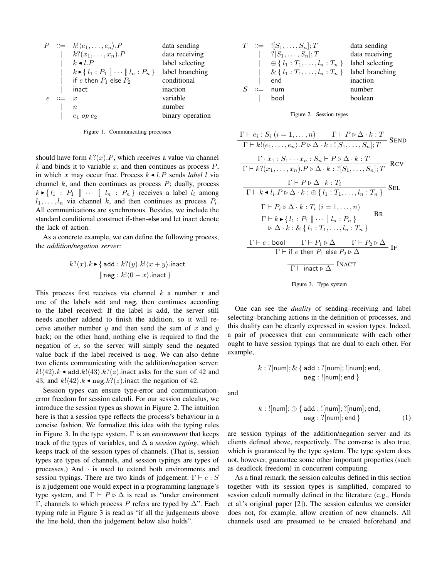| $P$ | $:=$                                        | $k! \langle e_1, \ldots, e_n \rangle$ . $P$ | data sending |
|-----|---------------------------------------------|---------------------------------------------|--------------|
| $ $ | $k^2(x_1, \ldots, x_n)$ . $P$               | data receiving                              |              |
| $ $ | $k \cdot l$ . $P$                           | label selecting                             |              |
| $ $ | $k \cdot l_1 : P_1   \cdots   l_n : P_n \}$ | label branching                             |              |
| $ $ | $i$                                         | label branching                             |              |
| $ $ | $i$                                         | conditional                                 |              |
| $ $ | inact                                       | inaction                                    |              |
| $e$ | $\therefore$                                | $x$                                         | variable     |
| $ $ | $n$                                         | number                                      |              |
| $ $ | $e_1$ $op \, e_2$                           | binary operation                            |              |

Figure 1. Communicating processes

should have form  $k?(\mathbf{x})$ . P, which receives a value via channel *k* and binds it to variable *x*, and then continues as process *P*, in which x may occur free. Process  $k \triangleleft l$ . P sends *label l* via channel  $k$ , and then continues as process  $P$ ; dually, process  $k \triangleright \{l_1 : P_1 \parallel \cdots \parallel l_n : P_n \}$  receives a label  $l_i$  among  $l_1, \ldots, l_n$  via channel *k*, and then continues as process  $P_i$ . All communications are synchronous. Besides, we include the standard conditional construct if-then-else and let inact denote the lack of action.

As a concrete example, we can define the following process, the *addition/negation server:*

$$
k?(x).k \blacktriangleright \{\text{add}: k?(y).k! \langle x + y \rangle.\text{inact} \}
$$

$$
\parallel \text{neg}: k! \langle 0 - x \rangle.\text{inact} \}
$$

This process first receives via channel *k* a number *x* and one of the labels add and neg, then continues according to the label received: If the label is add, the server still needs another addend to finish the addition, so it will receive another number *y* and then send the sum of *x* and *y* back; on the other hand, nothing else is required to find the negation of *x*, so the server will simply send the negated value back if the label received is neg. We can also define two clients communicating with the addition/negation server:  $k! \langle 42 \rangle$ *.k*  $\triangleleft$  add*.k*! $\langle 43 \rangle$ *.k*?(*z*)*.inact asks for the sum of 42 and* 43, and  $k! \langle 42 \rangle \cdot k \triangleleft n$ eg.k? $(z)$ *.inact the negation of 42.* 

Session types can ensure type-error and communicationerror freedom for session calculi. For our session calculus, we introduce the session types as shown in Figure 2. The intuition here is that a session type reflects the process's behaviour in a concise fashion. We formalize this idea with the typing rules in Figure 3. In the type system, Γ is an *environment* that keeps track of the types of variables, and  $\Delta$  a *session typing*, which keeps track of the session types of channels. (That is, session types are types of channels, and session typings are types of processes.) And *·* is used to extend both environments and session typings. There are two kinds of judgement:  $\Gamma \vdash e : S$ is a judgement one would expect in a programming language's type system, and  $\Gamma \vdash P \triangleright \Delta$  is read as "under environment" Γ, channels to which process *P* refers are typed by ∆". Each typing rule in Figure 3 is read as "if all the judgements above the line hold, then the judgement below also holds".

$$
T \begin{array}{rcl}\nT & ::= & |[S_1, \ldots, S_n]; T \quad \text{data sending} \\
 & & | & ?[S_1, \ldots, S_n]; T \quad \text{data receiving} \\
 & & | & \oplus \{l_1 : T_1, \ldots, l_n : T_n \} \quad \text{label selecting} \\
 & & & \& \{l_1 : T_1, \ldots, l_n : T_n \} \quad \text{label beginning} \\
 & & | & \text{end} \quad \text{is} \\
S & ::= & \text{num} & \text{number} \\
 & & | & \text{bool} & \text{boolean}\n\end{array}
$$

### Figure 2. Session types

$$
\frac{\Gamma \vdash e_i : S_i (i = 1, ..., n) \qquad \Gamma \vdash P \triangleright \Delta \cdot k : T}{\Gamma \vdash k! \langle e_1, ..., e_n \rangle \cdot P \triangleright \Delta \cdot k : [[S_1, ..., S_n]; T \qquad \text{SEND}
$$
\n
$$
\frac{\Gamma \cdot x_1 : S_1 \cdots x_n : S_n \vdash P \triangleright \Delta \cdot k : T}{\Gamma \vdash k? \langle x_1, ..., x_n \rangle \cdot P \triangleright \Delta \cdot k : ?[S_1, ..., S_n]; T} \text{RCV}
$$
\n
$$
\frac{\Gamma \vdash P \triangleright \Delta \cdot k : T_i}{\Gamma \vdash k \blacktriangle l_i \cdot P \triangleright \Delta \cdot k : \bigcirc \{ l_1 : T_1, ..., l_n : T_n \} } \text{SEL}
$$
\n
$$
\frac{\Gamma \vdash P_i \triangleright \Delta \cdot k : T_i (i = 1, ..., n)}{\Gamma \vdash k \blacktriangleright \{ l_1 : P_1 \mid \dots \mid l_n : P_n \} } \text{BR}
$$
\n
$$
\triangleright \Delta \cdot k : \& \{ l_1 : T_1, ..., l_n : T_n \}
$$
\n
$$
\frac{\Gamma \vdash e : \text{bool} \qquad \Gamma \vdash P_1 \triangleright \Delta \qquad \Gamma \vdash P_2 \triangleright \Delta}{\Gamma \vdash \text{if } e \text{ then } P_1 \text{ else } P_2 \triangleright \Delta} } \text{IF}
$$
\n
$$
\frac{\Gamma \vdash e : \text{bool} \qquad \Gamma \vdash P_1 \triangleright \Delta}{\Gamma \vdash \text{inact} \triangleright \Delta} \text{INACT}
$$



One can see the *duality* of sending–receiving and label selecting–branching actions in the definition of processes, and this duality can be cleanly expressed in session types. Indeed, a pair of processes that can communicate with each other ought to have session typings that are dual to each other. For example,

$$
k: ?[num]; \& \{ add: ?[num]; ![num]; end, \\neg: ![num]; end \}
$$

and

$$
k:![num]; \oplus \{ add:![num]; ?[num]; end,
$$
  
neg: ?[num]; end \n(1)

are session typings of the addition/negation server and its clients defined above, respectively. The converse is also true, which is guaranteed by the type system. The type system does not, however, guarantee some other important properties (such as deadlock freedom) in concurrent computing.

As a final remark, the session calculus defined in this section together with its session types is simplified, compared to session calculi normally defined in the literature (e.g., Honda et al.'s original paper [2]). The session calculus we consider does not, for example, allow creation of new channels. All channels used are presumed to be created beforehand and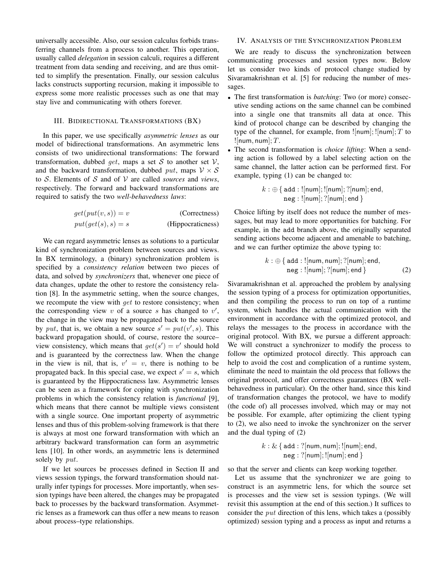universally accessible. Also, our session calculus forbids transferring channels from a process to another. This operation, usually called *delegation* in session calculi, requires a different treatment from data sending and receiving, and are thus omitted to simplify the presentation. Finally, our session calculus lacks constructs supporting recursion, making it impossible to express some more realistic processes such as one that may stay live and communicating with others forever.

## III. BIDIRECTIONAL TRANSFORMATIONS (BX)

In this paper, we use specifically *asymmetric lenses* as our model of bidirectional transformations. An asymmetric lens consists of two unidirectional transformations: The forward transformation, dubbed *get*, maps a set *S* to another set *V*, and the backward transformation, dubbed *put*, maps  $V \times S$ to *S*. Elements of *S* and of *V* are called *sources* and *views*, respectively. The forward and backward transformations are required to satisfy the two *well-behavedness laws*:

| $get(put(v, s)) = v$ | (Correctness)     |
|----------------------|-------------------|
| $put(get(s), s) = s$ | (Hippocraticness) |

We can regard asymmetric lenses as solutions to a particular kind of synchronization problem between sources and views. In BX terminology, a (binary) synchronization problem is specified by a *consistency relation* between two pieces of data, and solved by *synchronizers* that, whenever one piece of data changes, update the other to restore the consistency relation [8]. In the asymmetric setting, when the source changes, we recompute the view with *get* to restore consistency; when the corresponding view  $v$  of a source  $s$  has changed to  $v'$ , the change in the view may be propagated back to the source by *put*, that is, we obtain a new source  $s' = put(v', s)$ . This backward propagation should, of course, restore the source– view consistency, which means that  $get(s') = v'$  should hold and is guaranteed by the correctness law. When the change in the view is nil, that is,  $v' = v$ , there is nothing to be propagated back. In this special case, we expect  $s' = s$ , which is guaranteed by the Hippocraticness law. Asymmetric lenses can be seen as a framework for coping with synchronization problems in which the consistency relation is *functional* [9], which means that there cannot be multiple views consistent with a single source. One important property of asymmetric lenses and thus of this problem-solving framework is that there is always at most one forward transformation with which an arbitrary backward transformation can form an asymmetric lens [10]. In other words, an asymmetric lens is determined solely by *put*.

If we let sources be processes defined in Section II and views session typings, the forward transformation should naturally infer typings for processes. More importantly, when session typings have been altered, the changes may be propagated back to processes by the backward transformation. Asymmetric lenses as a framework can thus offer a new means to reason about process–type relationships.

## IV. ANALYSIS OF THE SYNCHRONIZATION PROBLEM

We are ready to discuss the synchronization between communicating processes and session types now. Below let us consider two kinds of protocol change studied by Sivaramakrishnan et al. [5] for reducing the number of messages.

- *•* The first transformation is *batching*: Two (or more) consecutive sending actions on the same channel can be combined into a single one that transmits all data at once. This kind of protocol change can be described by changing the type of the channel, for example, from ![num]; ![num]; *T* to ![num*,* num]; *T*.
- *•* The second transformation is *choice lifting*: When a sending action is followed by a label selecting action on the same channel, the latter action can be performed first. For example, typing (1) can be changed to:

$$
k: \oplus \{ \text{ add} : ![num]; ![num]; ?[num]; \text{end}, \\neg : ![num]; ?[num]; \text{end} \}
$$

Choice lifting by itself does not reduce the number of messages, but may lead to more opportunities for batching. For example, in the add branch above, the originally separated sending actions become adjacent and amenable to batching, and we can further optimize the above typing to:

$$
k: \oplus \{ \text{ add} : ![num, num]; ?[num]; \text{end},
$$
  
neg : ![num]; ?[num]; end \n(2)

Sivaramakrishnan et al. approached the problem by analysing the session typing of a process for optimization opportunities, and then compiling the process to run on top of a runtime system, which handles the actual communication with the environment in accordance with the optimized protocol, and relays the messages to the process in accordance with the original protocol. With BX, we pursue a different approach: We will construct a synchronizer to modify the process to follow the optimized protocol directly. This approach can help to avoid the cost and complication of a runtime system, eliminate the need to maintain the old process that follows the original protocol, and offer correctness guarantees (BX wellbehavedness in particular). On the other hand, since this kind of transformation changes the protocol, we have to modify (the code of) all processes involved, which may or may not be possible. For example, after optimizing the client typing to (2), we also need to invoke the synchronizer on the server and the dual typing of (2)

$$
k: \& \{ add: ?[num, num]; ![num]; end, \newline neg: ?[num]; ![num]; end \}
$$

so that the server and clients can keep working together.

Let us assume that the synchronizer we are going to construct is an asymmetric lens, for which the source set is processes and the view set is session typings. (We will revisit this assumption at the end of this section.) It suffices to consider the *put* direction of this lens, which takes a (possibly optimized) session typing and a process as input and returns a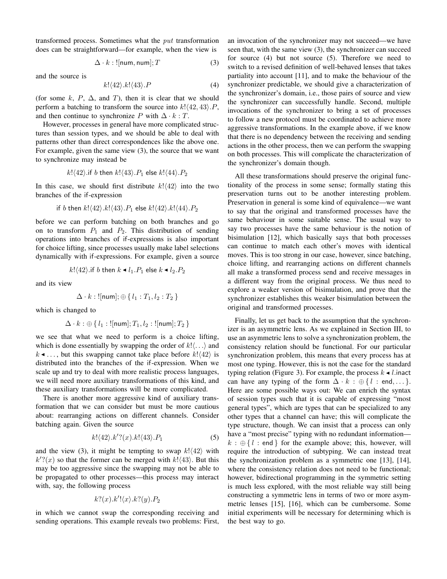transformed process. Sometimes what the *put* transformation does can be straightforward—for example, when the view is

$$
\Delta \cdot k : [[num, num]; T \tag{3}
$$

and the source is

$$
k!\langle 42 \rangle.k!\langle 43 \rangle.P \tag{4}
$$

(for some  $k$ ,  $P$ ,  $\Delta$ , and  $T$ ), then it is clear that we should perform a batching to transform the source into *k*!*⟨*42*,* 43*⟩.P*, and then continue to synchronize *P* with  $\Delta \cdot k : T$ .

However, processes in general have more complicated structures than session types, and we should be able to deal with patterns other than direct correspondences like the above one. For example, given the same view (3), the source that we want to synchronize may instead be

$$
k! \langle 42 \rangle
$$
.  
if *b* then  $k! \langle 43 \rangle P_1$  else  $k! \langle 44 \rangle P_2$ 

In this case, we should first distribute  $k! \langle 42 \rangle$  into the two branches of the if-expression

if *b* then 
$$
k! \langle 42 \rangle.k! \langle 43 \rangle.P_1
$$
 else  $k! \langle 42 \rangle.k! \langle 44 \rangle.P_2$ 

before we can perform batching on both branches and go on to transform  $P_1$  and  $P_2$ . This distribution of sending operations into branches of if-expressions is also important for choice lifting, since processes usually make label selections dynamically with if-expressions. For example, given a source

$$
k! \langle 42 \rangle
$$
.  
if *b* then  $k \triangleleft l_1.P_1$  else  $k \triangleleft l_2.P_2$ 

and its view

$$
\Delta \cdot k : ![num]; \oplus \{l_1 : T_1, l_2 : T_2\}
$$

which is changed to

$$
\Delta \cdot k : \oplus \set{l_1 : ![\mathsf{num}]; T_1, l_2 : ![\mathsf{num}]; T_2}
$$

we see that what we need to perform is a choice lifting, which is done essentially by swapping the order of  $k! \langle \ldots \rangle$  and  $k \triangleleft$  ..., but this swapping cannot take place before  $k! \langle 42 \rangle$  is distributed into the branches of the if-expression. When we scale up and try to deal with more realistic process languages, we will need more auxiliary transformations of this kind, and these auxiliary transformations will be more complicated.

There is another more aggressive kind of auxiliary transformation that we can consider but must be more cautious about: rearranging actions on different channels. Consider batching again. Given the source

$$
k!\langle 42 \rangle.k' ?(x).k!\langle 43 \rangle.P_1 \tag{5}
$$

and the view (3), it might be tempting to swap *k*!*⟨*42*⟩* with  $k'$ ? $(x)$  so that the former can be merged with  $k$ ! $\langle 43 \rangle$ . But this may be too aggressive since the swapping may not be able to be propagated to other processes—this process may interact with, say, the following process

$$
k?(x).k'!\langle x \rangle.k?(\mathfrak{y}).P_2
$$

in which we cannot swap the corresponding receiving and sending operations. This example reveals two problems: First, an invocation of the synchronizer may not succeed—we have seen that, with the same view (3), the synchronizer can succeed for source (4) but not source (5). Therefore we need to switch to a revised definition of well-behaved lenses that takes partiality into account [11], and to make the behaviour of the synchronizer predictable, we should give a characterization of the synchronizer's domain, i.e., those pairs of source and view the synchronizer can successfully handle. Second, multiple invocations of the synchronizer to bring a set of processes to follow a new protocol must be coordinated to achieve more aggressive transformations. In the example above, if we know that there is no dependency between the receiving and sending actions in the other process, then we can perform the swapping on both processes. This will complicate the characterization of the synchronizer's domain though.

All these transformations should preserve the original functionality of the process in some sense; formally stating this preservation turns out to be another interesting problem. Preservation in general is some kind of equivalence—we want to say that the original and transformed processes have the same behaviour in some suitable sense. The usual way to say two processes have the same behaviour is the notion of bisimulation [12], which basically says that both processes can continue to match each other's moves with identical moves. This is too strong in our case, however, since batching, choice lifting, and rearranging actions on different channels all make a transformed process send and receive messages in a different way from the original process. We thus need to explore a weaker version of bisimulation, and prove that the synchronizer establishes this weaker bisimulation between the original and transformed processes.

Finally, let us get back to the assumption that the synchronizer is an asymmetric lens. As we explained in Section III, to use an asymmetric lens to solve a synchronization problem, the consistency relation should be functional. For our particular synchronization problem, this means that every process has at most one typing. However, this is not the case for the standard typing relation (Figure 3). For example, the process  $k \triangleleft l$  *l*.inact can have any typing of the form  $\Delta \cdot k : \oplus \{l : \text{end}, \dots\}.$ Here are some possible ways out: We can enrich the syntax of session types such that it is capable of expressing "most general types", which are types that can be specialized to any other types that a channel can have; this will complicate the type structure, though. We can insist that a process can only have a "most precise" typing with no redundant information  $k : \bigoplus \{l : \text{end}\}\$  for the example above; this, however, will require the introduction of subtyping. We can instead treat the synchronization problem as a symmetric one [13], [14], where the consistency relation does not need to be functional; however, bidirectional programming in the symmetric setting is much less explored, with the most reliable way still being constructing a symmetric lens in terms of two or more asymmetric lenses [15], [16], which can be cumbersome. Some initial experiments will be necessary for determining which is the best way to go.